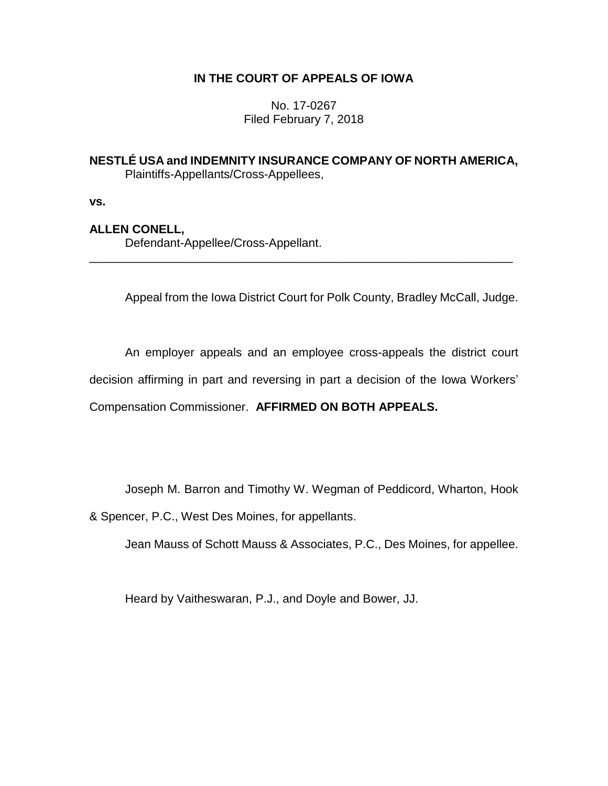# **IN THE COURT OF APPEALS OF IOWA**

No. 17-0267 Filed February 7, 2018

## **NESTLÉ USA and INDEMNITY INSURANCE COMPANY OF NORTH AMERICA,** Plaintiffs-Appellants/Cross-Appellees,

\_\_\_\_\_\_\_\_\_\_\_\_\_\_\_\_\_\_\_\_\_\_\_\_\_\_\_\_\_\_\_\_\_\_\_\_\_\_\_\_\_\_\_\_\_\_\_\_\_\_\_\_\_\_\_\_\_\_\_\_\_\_\_\_

**vs.**

# **ALLEN CONELL,**

Defendant-Appellee/Cross-Appellant.

Appeal from the Iowa District Court for Polk County, Bradley McCall, Judge.

An employer appeals and an employee cross-appeals the district court decision affirming in part and reversing in part a decision of the Iowa Workers' Compensation Commissioner. **AFFIRMED ON BOTH APPEALS.**

Joseph M. Barron and Timothy W. Wegman of Peddicord, Wharton, Hook

& Spencer, P.C., West Des Moines, for appellants.

Jean Mauss of Schott Mauss & Associates, P.C., Des Moines, for appellee.

Heard by Vaitheswaran, P.J., and Doyle and Bower, JJ.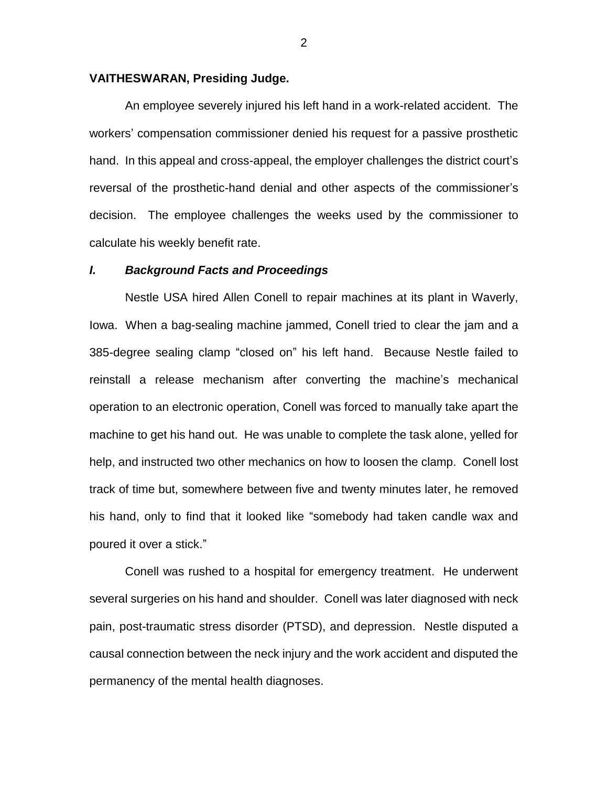#### **VAITHESWARAN, Presiding Judge.**

An employee severely injured his left hand in a work-related accident. The workers' compensation commissioner denied his request for a passive prosthetic hand. In this appeal and cross-appeal, the employer challenges the district court's reversal of the prosthetic-hand denial and other aspects of the commissioner's decision. The employee challenges the weeks used by the commissioner to calculate his weekly benefit rate.

#### *I. Background Facts and Proceedings*

Nestle USA hired Allen Conell to repair machines at its plant in Waverly, Iowa. When a bag-sealing machine jammed, Conell tried to clear the jam and a 385-degree sealing clamp "closed on" his left hand. Because Nestle failed to reinstall a release mechanism after converting the machine's mechanical operation to an electronic operation, Conell was forced to manually take apart the machine to get his hand out. He was unable to complete the task alone, yelled for help, and instructed two other mechanics on how to loosen the clamp. Conell lost track of time but, somewhere between five and twenty minutes later, he removed his hand, only to find that it looked like "somebody had taken candle wax and poured it over a stick."

Conell was rushed to a hospital for emergency treatment. He underwent several surgeries on his hand and shoulder. Conell was later diagnosed with neck pain, post-traumatic stress disorder (PTSD), and depression. Nestle disputed a causal connection between the neck injury and the work accident and disputed the permanency of the mental health diagnoses.

2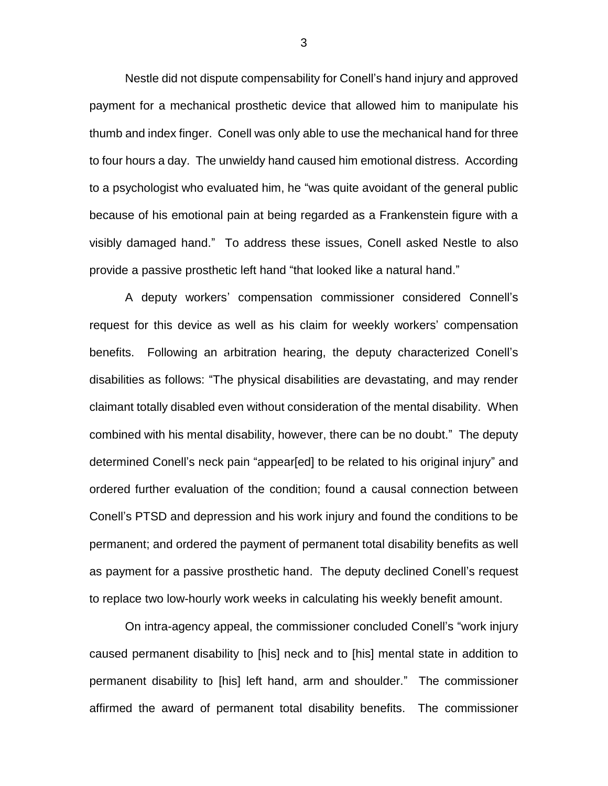Nestle did not dispute compensability for Conell's hand injury and approved payment for a mechanical prosthetic device that allowed him to manipulate his thumb and index finger. Conell was only able to use the mechanical hand for three to four hours a day. The unwieldy hand caused him emotional distress. According to a psychologist who evaluated him, he "was quite avoidant of the general public because of his emotional pain at being regarded as a Frankenstein figure with a visibly damaged hand." To address these issues, Conell asked Nestle to also provide a passive prosthetic left hand "that looked like a natural hand."

A deputy workers' compensation commissioner considered Connell's request for this device as well as his claim for weekly workers' compensation benefits. Following an arbitration hearing, the deputy characterized Conell's disabilities as follows: "The physical disabilities are devastating, and may render claimant totally disabled even without consideration of the mental disability. When combined with his mental disability, however, there can be no doubt." The deputy determined Conell's neck pain "appear[ed] to be related to his original injury" and ordered further evaluation of the condition; found a causal connection between Conell's PTSD and depression and his work injury and found the conditions to be permanent; and ordered the payment of permanent total disability benefits as well as payment for a passive prosthetic hand. The deputy declined Conell's request to replace two low-hourly work weeks in calculating his weekly benefit amount.

On intra-agency appeal, the commissioner concluded Conell's "work injury caused permanent disability to [his] neck and to [his] mental state in addition to permanent disability to [his] left hand, arm and shoulder." The commissioner affirmed the award of permanent total disability benefits. The commissioner

3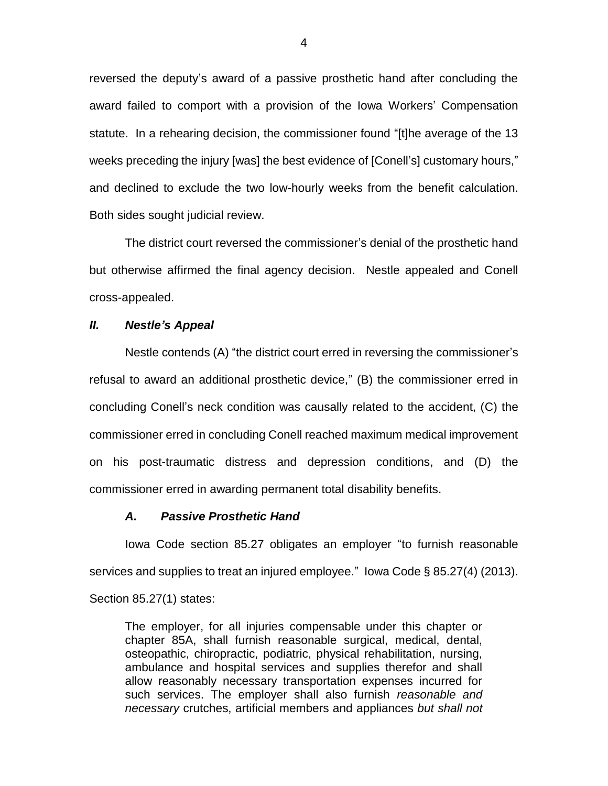reversed the deputy's award of a passive prosthetic hand after concluding the award failed to comport with a provision of the Iowa Workers' Compensation statute. In a rehearing decision, the commissioner found "[t]he average of the 13 weeks preceding the injury [was] the best evidence of [Conell's] customary hours," and declined to exclude the two low-hourly weeks from the benefit calculation. Both sides sought judicial review.

The district court reversed the commissioner's denial of the prosthetic hand but otherwise affirmed the final agency decision. Nestle appealed and Conell cross-appealed.

## *II. Nestle's Appeal*

Nestle contends (A) "the district court erred in reversing the commissioner's refusal to award an additional prosthetic device," (B) the commissioner erred in concluding Conell's neck condition was causally related to the accident, (C) the commissioner erred in concluding Conell reached maximum medical improvement on his post-traumatic distress and depression conditions, and (D) the commissioner erred in awarding permanent total disability benefits.

#### *A. Passive Prosthetic Hand*

Iowa Code section 85.27 obligates an employer "to furnish reasonable services and supplies to treat an injured employee." Iowa Code § 85.27(4) (2013).

Section 85.27(1) states:

The employer, for all injuries compensable under this chapter or chapter 85A, shall furnish reasonable surgical, medical, dental, osteopathic, chiropractic, podiatric, physical rehabilitation, nursing, ambulance and hospital services and supplies therefor and shall allow reasonably necessary transportation expenses incurred for such services. The employer shall also furnish *reasonable and necessary* crutches, artificial members and appliances *but shall not*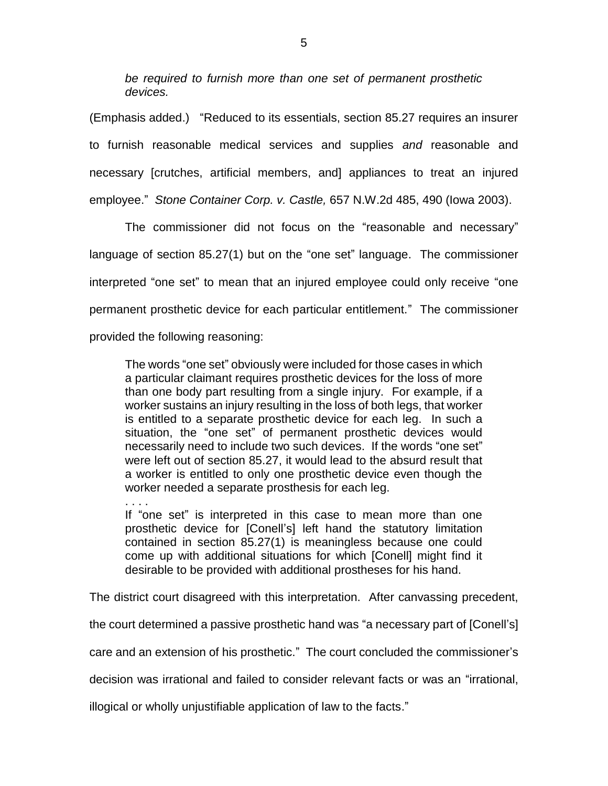*be required to furnish more than one set of permanent prosthetic devices.*

(Emphasis added.) "Reduced to its essentials, section 85.27 requires an insurer to furnish reasonable medical services and supplies *and* reasonable and necessary [crutches, artificial members, and] appliances to treat an injured employee." *Stone Container Corp. v. Castle,* 657 N.W.2d 485, 490 (Iowa 2003).

 The commissioner did not focus on the "reasonable and necessary" language of section 85.27(1) but on the "one set" language. The commissioner interpreted "one set" to mean that an injured employee could only receive "one permanent prosthetic device for each particular entitlement."The commissioner provided the following reasoning:

The words "one set" obviously were included for those cases in which a particular claimant requires prosthetic devices for the loss of more than one body part resulting from a single injury. For example, if a worker sustains an injury resulting in the loss of both legs, that worker is entitled to a separate prosthetic device for each leg. In such a situation, the "one set" of permanent prosthetic devices would necessarily need to include two such devices. If the words "one set" were left out of section 85.27, it would lead to the absurd result that a worker is entitled to only one prosthetic device even though the worker needed a separate prosthesis for each leg.

. . . . If "one set" is interpreted in this case to mean more than one prosthetic device for [Conell's] left hand the statutory limitation contained in section 85.27(1) is meaningless because one could come up with additional situations for which [Conell] might find it desirable to be provided with additional prostheses for his hand.

The district court disagreed with this interpretation. After canvassing precedent,

the court determined a passive prosthetic hand was "a necessary part of [Conell's]

care and an extension of his prosthetic." The court concluded the commissioner's

decision was irrational and failed to consider relevant facts or was an "irrational,

illogical or wholly unjustifiable application of law to the facts."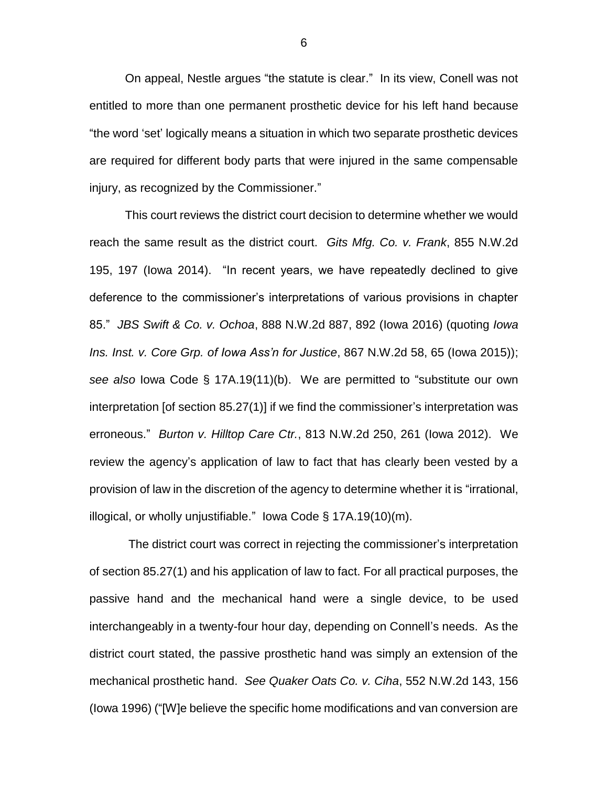On appeal, Nestle argues "the statute is clear." In its view, Conell was not entitled to more than one permanent prosthetic device for his left hand because "the word 'set' logically means a situation in which two separate prosthetic devices are required for different body parts that were injured in the same compensable injury, as recognized by the Commissioner."

This court reviews the district court decision to determine whether we would reach the same result as the district court. *Gits Mfg. Co. v. Frank*, 855 N.W.2d 195, 197 (Iowa 2014). "In recent years, we have repeatedly declined to give deference to the commissioner's interpretations of various provisions in chapter 85." *JBS Swift & Co. v. Ochoa*, 888 N.W.2d 887, 892 (Iowa 2016) (quoting *Iowa Ins. Inst. v. Core Grp. of Iowa Ass'n for Justice*, 867 N.W.2d 58, 65 (Iowa 2015)); *see also* Iowa Code § 17A.19(11)(b). We are permitted to "substitute our own interpretation [of section 85.27(1)] if we find the commissioner's interpretation was erroneous." *Burton v. Hilltop Care Ctr.*, 813 N.W.2d 250, 261 (Iowa 2012). We review the agency's application of law to fact that has clearly been vested by a provision of law in the discretion of the agency to determine whether it is "irrational, illogical, or wholly unjustifiable." Iowa Code § 17A.19(10)(m).

The district court was correct in rejecting the commissioner's interpretation of section 85.27(1) and his application of law to fact. For all practical purposes, the passive hand and the mechanical hand were a single device, to be used interchangeably in a twenty-four hour day, depending on Connell's needs. As the district court stated, the passive prosthetic hand was simply an extension of the mechanical prosthetic hand. *See Quaker Oats Co. v. Ciha*, 552 N.W.2d 143, 156 (Iowa 1996) ("[W]e believe the specific home modifications and van conversion are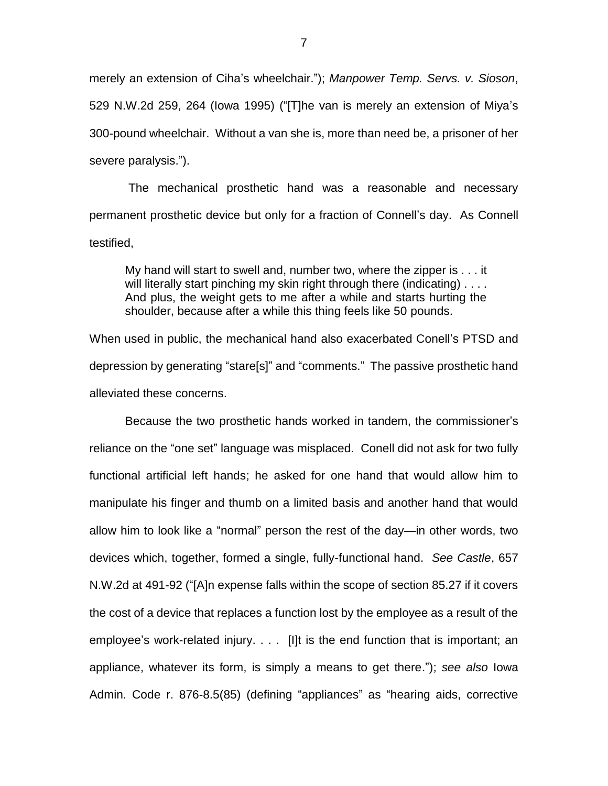merely an extension of Ciha's wheelchair."); *Manpower Temp. Servs. v. Sioson*, 529 N.W.2d 259, 264 (Iowa 1995) ("[T]he van is merely an extension of Miya's 300-pound wheelchair. Without a van she is, more than need be, a prisoner of her severe paralysis.").

The mechanical prosthetic hand was a reasonable and necessary permanent prosthetic device but only for a fraction of Connell's day. As Connell testified,

My hand will start to swell and, number two, where the zipper is . . . it will literally start pinching my skin right through there (indicating) .... And plus, the weight gets to me after a while and starts hurting the shoulder, because after a while this thing feels like 50 pounds.

When used in public, the mechanical hand also exacerbated Conell's PTSD and depression by generating "stare[s]" and "comments." The passive prosthetic hand alleviated these concerns.

Because the two prosthetic hands worked in tandem, the commissioner's reliance on the "one set" language was misplaced. Conell did not ask for two fully functional artificial left hands; he asked for one hand that would allow him to manipulate his finger and thumb on a limited basis and another hand that would allow him to look like a "normal" person the rest of the day—in other words, two devices which, together, formed a single, fully-functional hand. *See Castle*, 657 N.W.2d at 491-92 ("[A]n expense falls within the scope of section 85.27 if it covers the cost of a device that replaces a function lost by the employee as a result of the employee's work-related injury. . . . [I]t is the end function that is important; an appliance, whatever its form, is simply a means to get there."); *see also* Iowa Admin. Code r. 876-8.5(85) (defining "appliances" as "hearing aids, corrective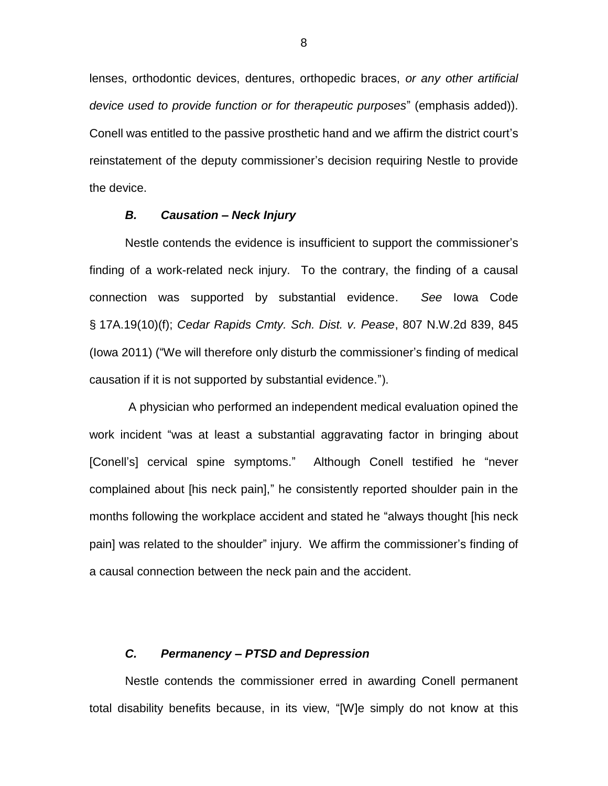lenses, orthodontic devices, dentures, orthopedic braces, *or any other artificial device used to provide function or for therapeutic purposes*" (emphasis added)). Conell was entitled to the passive prosthetic hand and we affirm the district court's reinstatement of the deputy commissioner's decision requiring Nestle to provide the device.

## *B. Causation – Neck Injury*

Nestle contends the evidence is insufficient to support the commissioner's finding of a work-related neck injury. To the contrary, the finding of a causal connection was supported by substantial evidence. *See* Iowa Code § 17A.19(10)(f); *Cedar Rapids Cmty. Sch. Dist. v. Pease*, 807 N.W.2d 839, 845 (Iowa 2011) ("We will therefore only disturb the commissioner's finding of medical causation if it is not supported by substantial evidence.").

A physician who performed an independent medical evaluation opined the work incident "was at least a substantial aggravating factor in bringing about [Conell's] cervical spine symptoms." Although Conell testified he "never complained about [his neck pain]," he consistently reported shoulder pain in the months following the workplace accident and stated he "always thought [his neck pain] was related to the shoulder" injury. We affirm the commissioner's finding of a causal connection between the neck pain and the accident.

#### *C. Permanency – PTSD and Depression*

Nestle contends the commissioner erred in awarding Conell permanent total disability benefits because, in its view, "[W]e simply do not know at this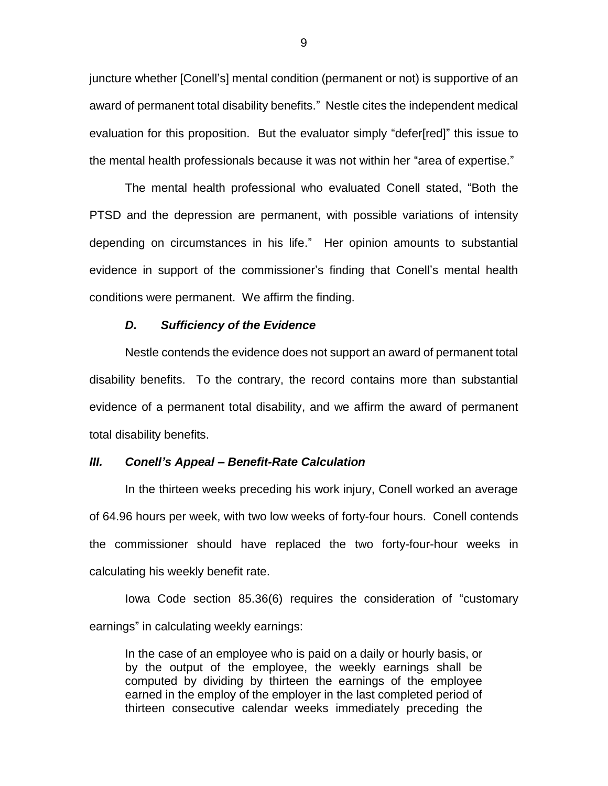juncture whether [Conell's] mental condition (permanent or not) is supportive of an award of permanent total disability benefits." Nestle cites the independent medical evaluation for this proposition. But the evaluator simply "defer[red]" this issue to the mental health professionals because it was not within her "area of expertise."

The mental health professional who evaluated Conell stated, "Both the PTSD and the depression are permanent, with possible variations of intensity depending on circumstances in his life." Her opinion amounts to substantial evidence in support of the commissioner's finding that Conell's mental health conditions were permanent. We affirm the finding.

### *D. Sufficiency of the Evidence*

Nestle contends the evidence does not support an award of permanent total disability benefits. To the contrary, the record contains more than substantial evidence of a permanent total disability, and we affirm the award of permanent total disability benefits.

#### *III. Conell's Appeal – Benefit-Rate Calculation*

In the thirteen weeks preceding his work injury, Conell worked an average of 64.96 hours per week, with two low weeks of forty-four hours. Conell contends the commissioner should have replaced the two forty-four-hour weeks in calculating his weekly benefit rate.

Iowa Code section 85.36(6) requires the consideration of "customary earnings" in calculating weekly earnings:

In the case of an employee who is paid on a daily or hourly basis, or by the output of the employee, the weekly earnings shall be computed by dividing by thirteen the earnings of the employee earned in the employ of the employer in the last completed period of thirteen consecutive calendar weeks immediately preceding the